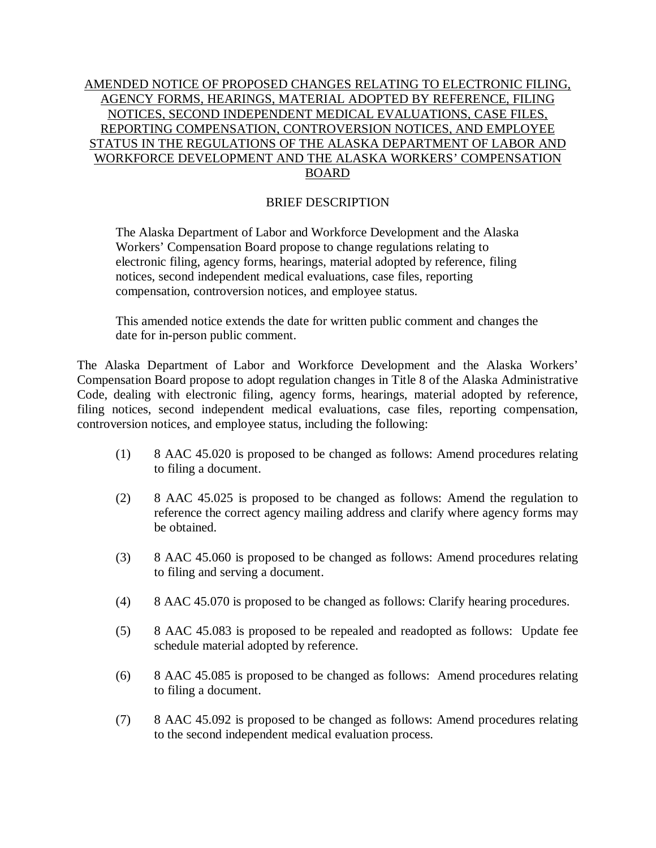## AMENDED NOTICE OF PROPOSED CHANGES RELATING TO ELECTRONIC FILING, AGENCY FORMS, HEARINGS, MATERIAL ADOPTED BY REFERENCE, FILING NOTICES, SECOND INDEPENDENT MEDICAL EVALUATIONS, CASE FILES, REPORTING COMPENSATION, CONTROVERSION NOTICES, AND EMPLOYEE STATUS IN THE REGULATIONS OF THE ALASKA DEPARTMENT OF LABOR AND WORKFORCE DEVELOPMENT AND THE ALASKA WORKERS' COMPENSATION BOARD

## BRIEF DESCRIPTION

The Alaska Department of Labor and Workforce Development and the Alaska Workers' Compensation Board propose to change regulations relating to electronic filing, agency forms, hearings, material adopted by reference, filing notices, second independent medical evaluations, case files, reporting compensation, controversion notices, and employee status.

This amended notice extends the date for written public comment and changes the date for in-person public comment.

The Alaska Department of Labor and Workforce Development and the Alaska Workers' Compensation Board propose to adopt regulation changes in Title 8 of the Alaska Administrative Code, dealing with electronic filing, agency forms, hearings, material adopted by reference, filing notices, second independent medical evaluations, case files, reporting compensation, controversion notices, and employee status, including the following:

- (1) 8 AAC 45.020 is proposed to be changed as follows: Amend procedures relating to filing a document.
- (2) 8 AAC 45.025 is proposed to be changed as follows: Amend the regulation to reference the correct agency mailing address and clarify where agency forms may be obtained.
- (3) 8 AAC 45.060 is proposed to be changed as follows: Amend procedures relating to filing and serving a document.
- (4) 8 AAC 45.070 is proposed to be changed as follows: Clarify hearing procedures.
- (5) 8 AAC 45.083 is proposed to be repealed and readopted as follows: Update fee schedule material adopted by reference.
- (6) 8 AAC 45.085 is proposed to be changed as follows: Amend procedures relating to filing a document.
- (7) 8 AAC 45.092 is proposed to be changed as follows: Amend procedures relating to the second independent medical evaluation process.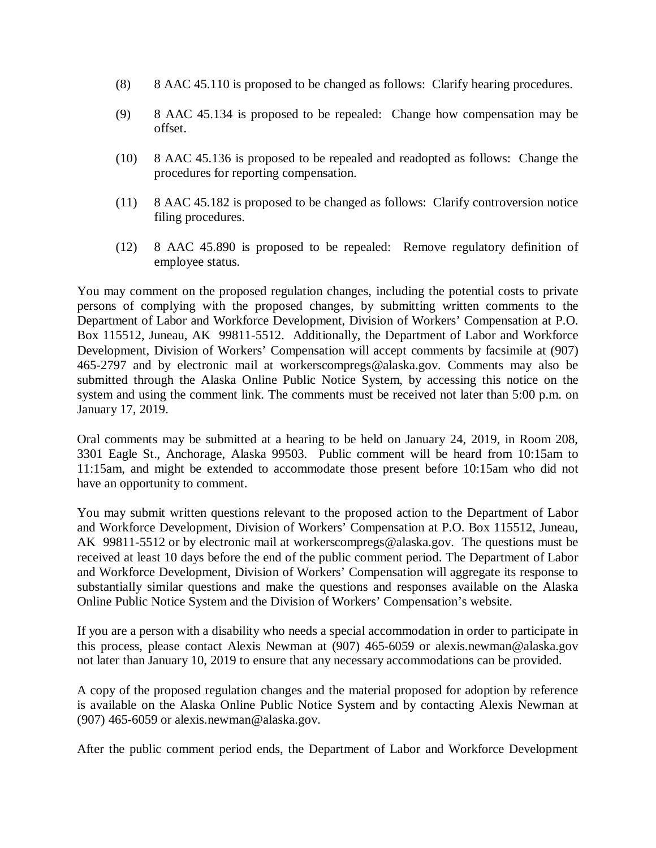- (8) 8 AAC 45.110 is proposed to be changed as follows: Clarify hearing procedures.
- (9) 8 AAC 45.134 is proposed to be repealed: Change how compensation may be offset.
- (10) 8 AAC 45.136 is proposed to be repealed and readopted as follows: Change the procedures for reporting compensation.
- (11) 8 AAC 45.182 is proposed to be changed as follows: Clarify controversion notice filing procedures.
- (12) 8 AAC 45.890 is proposed to be repealed: Remove regulatory definition of employee status.

You may comment on the proposed regulation changes, including the potential costs to private persons of complying with the proposed changes, by submitting written comments to the Department of Labor and Workforce Development, Division of Workers' Compensation at P.O. Box 115512, Juneau, AK 99811-5512. Additionally, the Department of Labor and Workforce Development, Division of Workers' Compensation will accept comments by facsimile at (907) 465-2797 and by electronic mail at workerscompregs@alaska.gov. Comments may also be submitted through the Alaska Online Public Notice System, by accessing this notice on the system and using the comment link. The comments must be received not later than 5:00 p.m. on January 17, 2019.

Oral comments may be submitted at a hearing to be held on January 24, 2019, in Room 208, 3301 Eagle St., Anchorage, Alaska 99503. Public comment will be heard from 10:15am to 11:15am, and might be extended to accommodate those present before 10:15am who did not have an opportunity to comment.

You may submit written questions relevant to the proposed action to the Department of Labor and Workforce Development, Division of Workers' Compensation at P.O. Box 115512, Juneau, AK 99811-5512 or by electronic mail at workerscompregs@alaska.gov. The questions must be received at least 10 days before the end of the public comment period. The Department of Labor and Workforce Development, Division of Workers' Compensation will aggregate its response to substantially similar questions and make the questions and responses available on the Alaska Online Public Notice System and the Division of Workers' Compensation's website.

If you are a person with a disability who needs a special accommodation in order to participate in this process, please contact Alexis Newman at (907) 465-6059 or alexis.newman@alaska.gov not later than January 10, 2019 to ensure that any necessary accommodations can be provided.

A copy of the proposed regulation changes and the material proposed for adoption by reference is available on the Alaska Online Public Notice System and by contacting Alexis Newman at (907) 465-6059 or alexis.newman@alaska.gov.

After the public comment period ends, the Department of Labor and Workforce Development